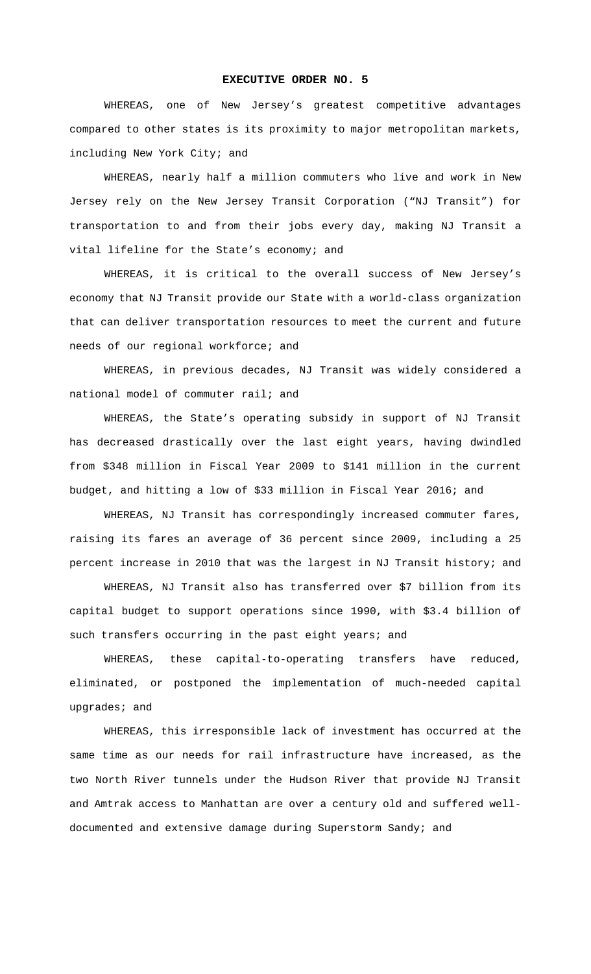## **EXECUTIVE ORDER NO. 5**

WHEREAS, one of New Jersey's greatest competitive advantages compared to other states is its proximity to major metropolitan markets, including New York City; and

WHEREAS, nearly half a million commuters who live and work in New Jersey rely on the New Jersey Transit Corporation ("NJ Transit") for transportation to and from their jobs every day, making NJ Transit a vital lifeline for the State's economy; and

WHEREAS, it is critical to the overall success of New Jersey's economy that NJ Transit provide our State with a world-class organization that can deliver transportation resources to meet the current and future needs of our regional workforce; and

WHEREAS, in previous decades, NJ Transit was widely considered a national model of commuter rail; and

WHEREAS, the State's operating subsidy in support of NJ Transit has decreased drastically over the last eight years, having dwindled from \$348 million in Fiscal Year 2009 to \$141 million in the current budget, and hitting a low of \$33 million in Fiscal Year 2016; and

WHEREAS, NJ Transit has correspondingly increased commuter fares, raising its fares an average of 36 percent since 2009, including a 25 percent increase in 2010 that was the largest in NJ Transit history; and

WHEREAS, NJ Transit also has transferred over \$7 billion from its capital budget to support operations since 1990, with \$3.4 billion of such transfers occurring in the past eight years; and

WHEREAS, these capital-to-operating transfers have reduced, eliminated, or postponed the implementation of much-needed capital upgrades; and

WHEREAS, this irresponsible lack of investment has occurred at the same time as our needs for rail infrastructure have increased, as the two North River tunnels under the Hudson River that provide NJ Transit and Amtrak access to Manhattan are over a century old and suffered welldocumented and extensive damage during Superstorm Sandy; and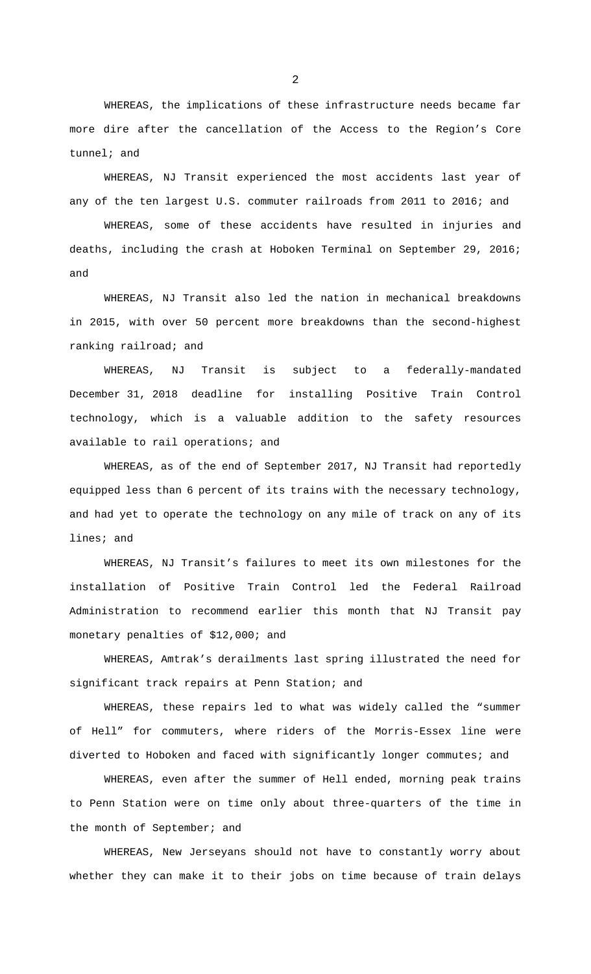WHEREAS, the implications of these infrastructure needs became far more dire after the cancellation of the Access to the Region's Core tunnel; and

WHEREAS, NJ Transit experienced the most accidents last year of any of the ten largest U.S. commuter railroads from 2011 to 2016; and

WHEREAS, some of these accidents have resulted in injuries and deaths, including the crash at Hoboken Terminal on September 29, 2016; and

WHEREAS, NJ Transit also led the nation in mechanical breakdowns in 2015, with over 50 percent more breakdowns than the second-highest ranking railroad; and

WHEREAS, NJ Transit is subject to a federally-mandated December 31, 2018 deadline for installing Positive Train Control technology, which is a valuable addition to the safety resources available to rail operations; and

WHEREAS, as of the end of September 2017, NJ Transit had reportedly equipped less than 6 percent of its trains with the necessary technology, and had yet to operate the technology on any mile of track on any of its lines; and

WHEREAS, NJ Transit's failures to meet its own milestones for the installation of Positive Train Control led the Federal Railroad Administration to recommend earlier this month that NJ Transit pay monetary penalties of \$12,000; and

WHEREAS, Amtrak's derailments last spring illustrated the need for significant track repairs at Penn Station; and

WHEREAS, these repairs led to what was widely called the "summer of Hell" for commuters, where riders of the Morris-Essex line were diverted to Hoboken and faced with significantly longer commutes; and

WHEREAS, even after the summer of Hell ended, morning peak trains to Penn Station were on time only about three-quarters of the time in the month of September; and

WHEREAS, New Jerseyans should not have to constantly worry about whether they can make it to their jobs on time because of train delays

2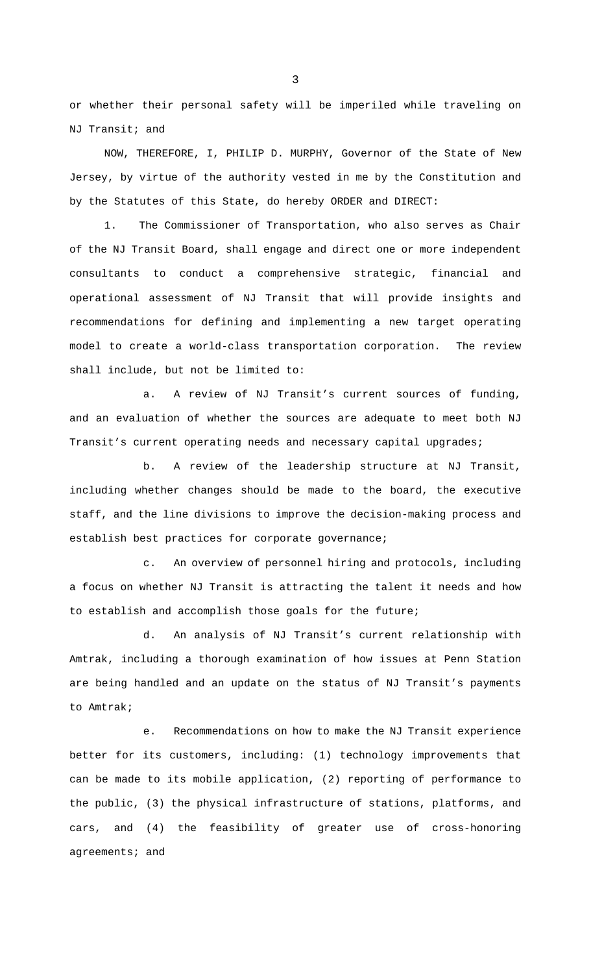or whether their personal safety will be imperiled while traveling on NJ Transit; and

NOW, THEREFORE, I, PHILIP D. MURPHY, Governor of the State of New Jersey, by virtue of the authority vested in me by the Constitution and by the Statutes of this State, do hereby ORDER and DIRECT:

1. The Commissioner of Transportation, who also serves as Chair of the NJ Transit Board, shall engage and direct one or more independent consultants to conduct a comprehensive strategic, financial and operational assessment of NJ Transit that will provide insights and recommendations for defining and implementing a new target operating model to create a world-class transportation corporation. The review shall include, but not be limited to:

a. A review of NJ Transit's current sources of funding, and an evaluation of whether the sources are adequate to meet both NJ Transit's current operating needs and necessary capital upgrades;

b. A review of the leadership structure at NJ Transit, including whether changes should be made to the board, the executive staff, and the line divisions to improve the decision-making process and establish best practices for corporate governance;

c. An overview of personnel hiring and protocols, including a focus on whether NJ Transit is attracting the talent it needs and how to establish and accomplish those goals for the future;

d. An analysis of NJ Transit's current relationship with Amtrak, including a thorough examination of how issues at Penn Station are being handled and an update on the status of NJ Transit's payments to Amtrak;

e. Recommendations on how to make the NJ Transit experience better for its customers, including: (1) technology improvements that can be made to its mobile application, (2) reporting of performance to the public, (3) the physical infrastructure of stations, platforms, and cars, and (4) the feasibility of greater use of cross-honoring agreements; and

3